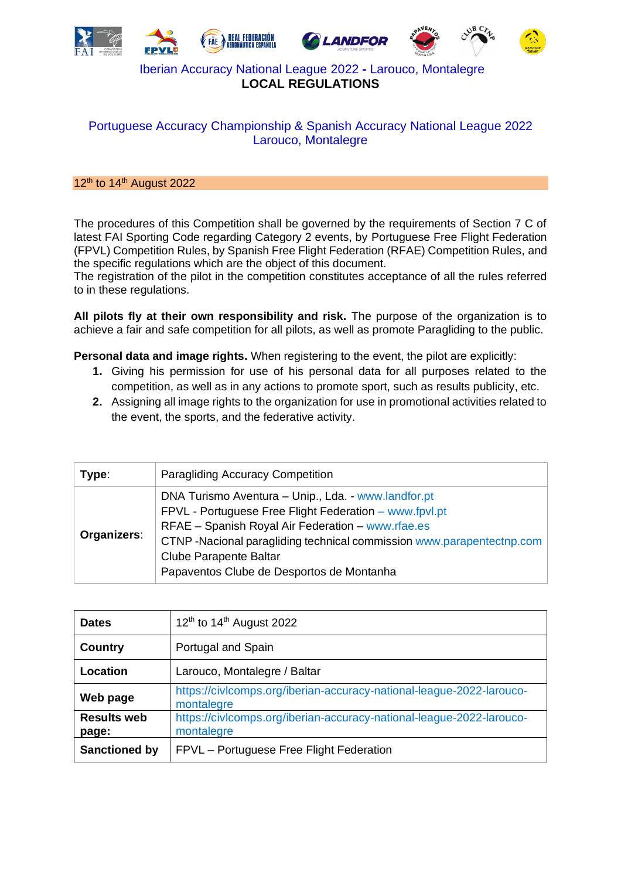

# Portuguese Accuracy Championship & Spanish Accuracy National League 2022 Larouco, Montalegre

#### $12<sup>th</sup>$  to 14<sup>th</sup> August 2022

The procedures of this Competition shall be governed by the requirements of Section 7 C of latest FAI Sporting Code regarding Category 2 events, by Portuguese Free Flight Federation (FPVL) Competition Rules, by Spanish Free Flight Federation (RFAE) Competition Rules, and the specific regulations which are the object of this document.

The registration of the pilot in the competition constitutes acceptance of all the rules referred to in these regulations.

**All pilots fly at their own responsibility and risk.** The purpose of the organization is to achieve a fair and safe competition for all pilots, as well as promote Paragliding to the public.

**Personal data and image rights.** When registering to the event, the pilot are explicitly:

- **1.** Giving his permission for use of his personal data for all purposes related to the competition, as well as in any actions to promote sport, such as results publicity, etc.
- **2.** Assigning all image rights to the organization for use in promotional activities related to the event, the sports, and the federative activity.

| Type:       | <b>Paragliding Accuracy Competition</b>                                                                                                                                                                                                                                                                                  |
|-------------|--------------------------------------------------------------------------------------------------------------------------------------------------------------------------------------------------------------------------------------------------------------------------------------------------------------------------|
| Organizers: | DNA Turismo Aventura - Unip., Lda. - www.landfor.pt<br>FPVL - Portuguese Free Flight Federation - www.fpvl.pt<br>RFAE - Spanish Royal Air Federation - www.rfae.es<br>CTNP-Nacional paragliding technical commission www.parapentectnp.com<br><b>Clube Parapente Baltar</b><br>Papaventos Clube de Desportos de Montanha |

| <b>Dates</b>                | 12 <sup>th</sup> to 14 <sup>th</sup> August 2022                                   |
|-----------------------------|------------------------------------------------------------------------------------|
| <b>Country</b>              | Portugal and Spain                                                                 |
| Location                    | Larouco, Montalegre / Baltar                                                       |
| Web page                    | https://civlcomps.org/iberian-accuracy-national-league-2022-larouco-<br>montalegre |
| <b>Results web</b><br>page: | https://civlcomps.org/iberian-accuracy-national-league-2022-larouco-<br>montalegre |
| <b>Sanctioned by</b>        | FPVL - Portuguese Free Flight Federation                                           |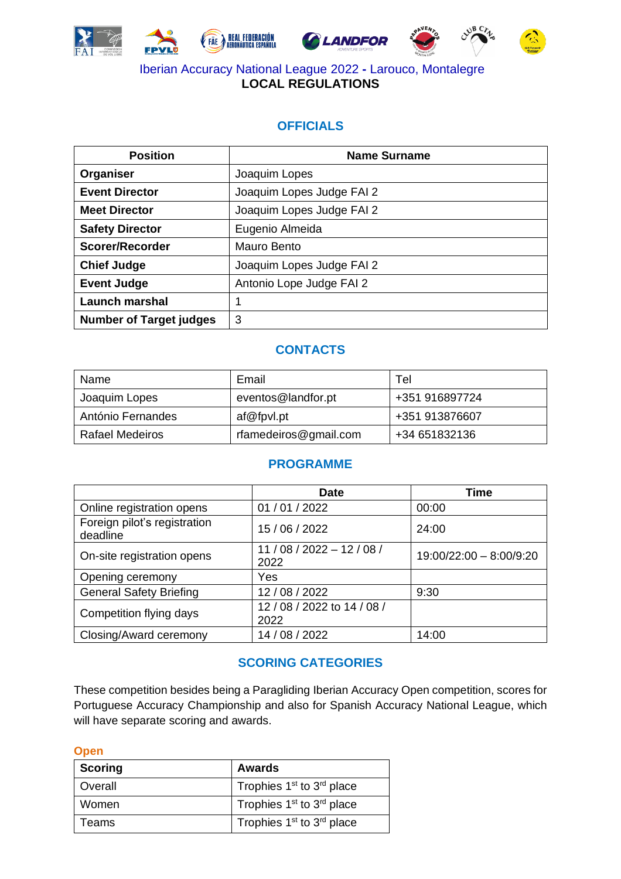









# **OFFICIALS**

| <b>Position</b>                | <b>Name Surname</b>       |
|--------------------------------|---------------------------|
| Organiser                      | Joaquim Lopes             |
| <b>Event Director</b>          | Joaquim Lopes Judge FAI 2 |
| <b>Meet Director</b>           | Joaquim Lopes Judge FAI 2 |
| <b>Safety Director</b>         | Eugenio Almeida           |
| Scorer/Recorder                | Mauro Bento               |
| <b>Chief Judge</b>             | Joaquim Lopes Judge FAI 2 |
| <b>Event Judge</b>             | Antonio Lope Judge FAI 2  |
| <b>Launch marshal</b>          |                           |
| <b>Number of Target judges</b> | 3                         |

# **CONTACTS**

| Name              | Email                 | Tel            |
|-------------------|-----------------------|----------------|
| Joaquim Lopes     | eventos@landfor.pt    | +351 916897724 |
| António Fernandes | af@fpvl.pt            | +351 913876607 |
| Rafael Medeiros   | rfamedeiros@gmail.com | +34 651832136  |

# **PROGRAMME**

|                                          | <b>Date</b>                   | <b>Time</b>             |
|------------------------------------------|-------------------------------|-------------------------|
| Online registration opens                | 01 / 01 / 2022                | 00:00                   |
| Foreign pilot's registration<br>deadline | 15 / 06 / 2022                | 24:00                   |
| On-site registration opens               | $11/08/2022 - 12/08/$<br>2022 | 19:00/22:00 - 8:00/9:20 |
| Opening ceremony                         | Yes                           |                         |
| <b>General Safety Briefing</b>           | 12/08/2022                    | 9:30                    |
| Competition flying days                  | 12/08/2022 to 14/08/<br>2022  |                         |
| Closing/Award ceremony                   | 14 / 08 / 2022                | 14:00                   |

# **SCORING CATEGORIES**

These competition besides being a Paragliding Iberian Accuracy Open competition, scores for Portuguese Accuracy Championship and also for Spanish Accuracy National League, which will have separate scoring and awards.

| <b>Open</b>    |                                                   |
|----------------|---------------------------------------------------|
| <b>Scoring</b> | <b>Awards</b>                                     |
| Overall        | Trophies 1 <sup>st</sup> to 3 <sup>rd</sup> place |
| Women          | Trophies 1 <sup>st</sup> to 3 <sup>rd</sup> place |
| Teams          | Trophies 1 <sup>st</sup> to 3 <sup>rd</sup> place |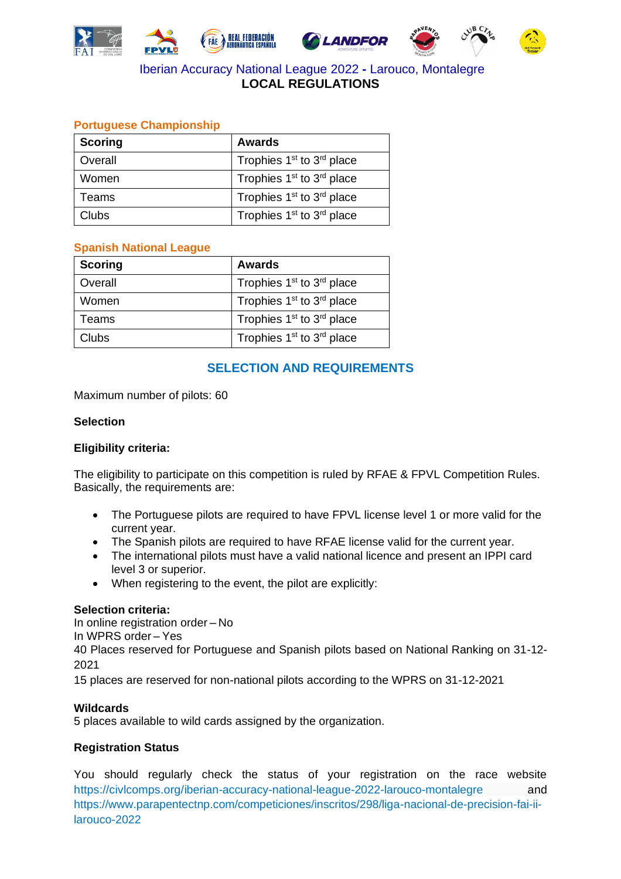





### **Portuguese Championship**

| <b>Scoring</b> | <b>Awards</b>                                     |
|----------------|---------------------------------------------------|
| Overall        | Trophies 1 <sup>st</sup> to 3 <sup>rd</sup> place |
| Women          | Trophies 1 <sup>st</sup> to 3 <sup>rd</sup> place |
| Teams          | Trophies 1 <sup>st</sup> to 3 <sup>rd</sup> place |
| <b>Clubs</b>   | Trophies 1 <sup>st</sup> to 3 <sup>rd</sup> place |

#### **Spanish National League**

| <b>Scoring</b> | <b>Awards</b>                                     |
|----------------|---------------------------------------------------|
| Overall        | Trophies 1 <sup>st</sup> to 3 <sup>rd</sup> place |
| Women          | Trophies 1 <sup>st</sup> to 3 <sup>rd</sup> place |
| Teams          | Trophies 1 <sup>st</sup> to 3 <sup>rd</sup> place |
| <b>Clubs</b>   | Trophies 1 <sup>st</sup> to 3 <sup>rd</sup> place |

### **SELECTION AND REQUIREMENTS**

#### Maximum number of pilots: 60

#### **Selection**

#### **Eligibility criteria:**

The eligibility to participate on this competition is ruled by RFAE & FPVL Competition Rules. Basically, the requirements are:

- The Portuguese pilots are required to have FPVL license level 1 or more valid for the current year.
- The Spanish pilots are required to have RFAE license valid for the current year.
- The international pilots must have a valid national licence and present an IPPI card level 3 or superior.
- When registering to the event, the pilot are explicitly:

#### **Selection criteria:**

In online registration order – No

In WPRS order – Yes

40 Places reserved for Portuguese and Spanish pilots based on National Ranking on 31-12- 2021

15 places are reserved for non-national pilots according to the WPRS on 31-12-2021

#### **Wildcards**

5 places available to wild cards assigned by the organization.

#### **Registration Status**

You should regularly check the status of your registration on the race website <https://civlcomps.org/iberian-accuracy-national-league-2022-larouco-montalegre> and [https://www.parapentectnp.com/competiciones/inscritos/298/liga-nacional-de-precision-fai-ii](https://www.parapentectnp.com/competiciones/inscritos/298/liga-nacional-de-precision-fai-ii-larouco-2022)[larouco-2022](https://www.parapentectnp.com/competiciones/inscritos/298/liga-nacional-de-precision-fai-ii-larouco-2022)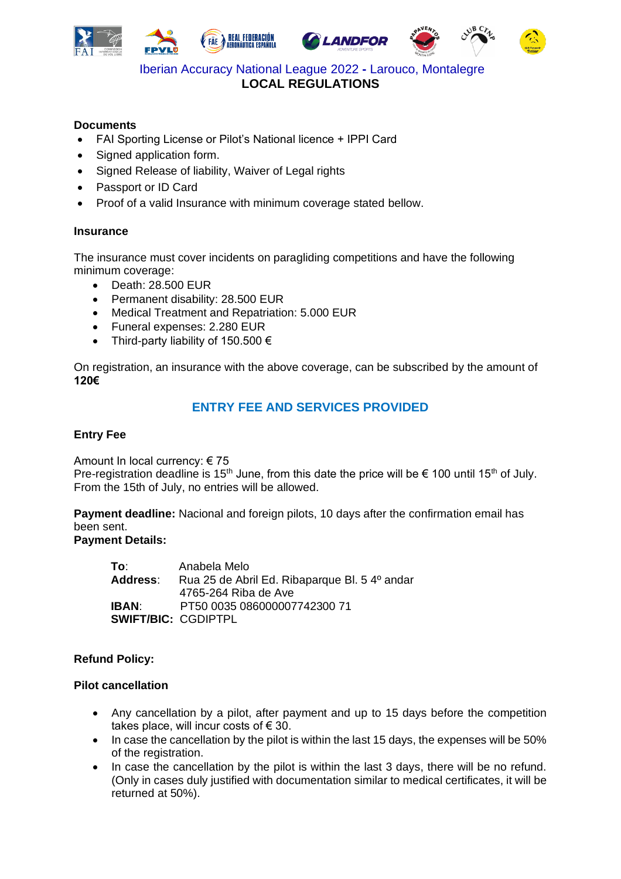







#### **Documents**

- FAI Sporting License or Pilot's National licence + IPPI Card
- Signed application form.
- Signed Release of liability, Waiver of Legal rights
- Passport or ID Card
- Proof of a valid Insurance with minimum coverage stated bellow.

#### **Insurance**

The insurance must cover incidents on paragliding competitions and have the following minimum coverage:

- Death: 28.500 EUR
- Permanent disability: 28.500 EUR
- Medical Treatment and Repatriation: 5.000 EUR
- Funeral expenses: 2.280 EUR
- Third-party liability of 150.500  $\epsilon$

On registration, an insurance with the above coverage, can be subscribed by the amount of **120€**

# **ENTRY FEE AND SERVICES PROVIDED**

#### **Entry Fee**

Amount In local currency: € 75

Pre-registration deadline is 15<sup>th</sup> June, from this date the price will be  $\epsilon$  100 until 15<sup>th</sup> of July. From the 15th of July, no entries will be allowed.

**Payment deadline:** Nacional and foreign pilots, 10 days after the confirmation email has been sent.

### **Payment Details:**

**To**: Anabela Melo **Address**: Rua 25 de Abril Ed. Ribaparque Bl. 5 4º andar 4765-264 Riba de Ave **IBAN**: PT50 0035 086000007742300 71 **SWIFT/BIC:** CGDIPTPL

#### **Refund Policy:**

#### **Pilot cancellation**

- Any cancellation by a pilot, after payment and up to 15 days before the competition takes place, will incur costs of  $\epsilon$  30.
- In case the cancellation by the pilot is within the last 15 days, the expenses will be 50% of the registration.
- In case the cancellation by the pilot is within the last 3 days, there will be no refund. (Only in cases duly justified with documentation similar to medical certificates, it will be returned at 50%).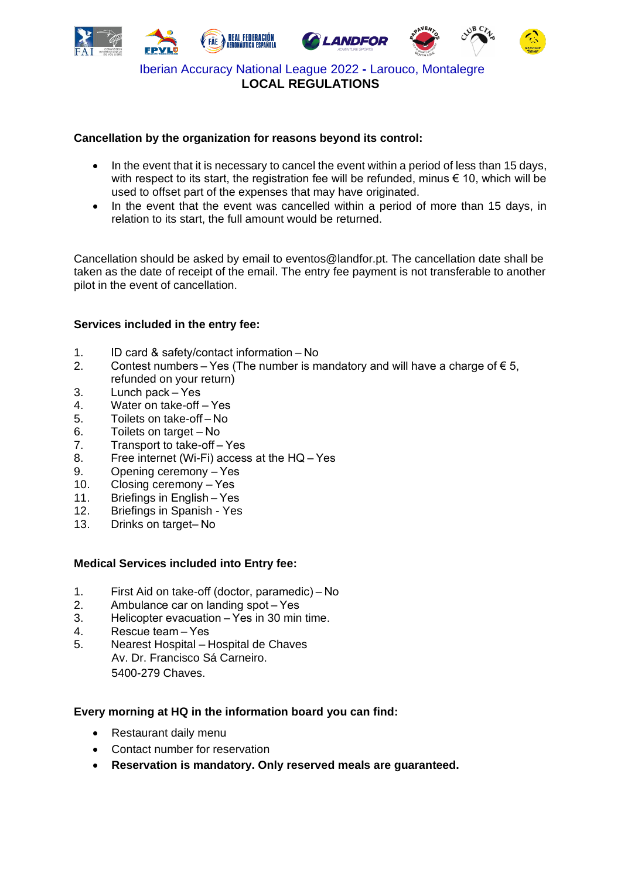

#### **Cancellation by the organization for reasons beyond its control:**

- In the event that it is necessary to cancel the event within a period of less than 15 days, with respect to its start, the registration fee will be refunded, minus  $\epsilon$  10, which will be used to offset part of the expenses that may have originated.
- In the event that the event was cancelled within a period of more than 15 days, in relation to its start, the full amount would be returned.

Cancellation should be asked by email to eventos@landfor.pt. The cancellation date shall be taken as the date of receipt of the email. The entry fee payment is not transferable to another pilot in the event of cancellation.

#### **Services included in the entry fee:**

- 1. ID card & safety/contact information – No
- 2. Contest numbers Yes (The number is mandatory and will have a charge of  $\epsilon$  5, refunded on your return)
- 3. Lunch pack – Yes
- 4. Water on take-off – Yes
- 5. Toilets on take-off – No
- 6. Toilets on target – No
- 7. Transport to take-off – Yes
- 8. Free internet (Wi-Fi) access at the HQ – Yes
- 9. Opening ceremony – Yes
- 10. Closing ceremony Yes
- 11. Briefings in English – Yes
- 12. Briefings in Spanish Yes
- 13. Drinks on target– No

#### **Medical Services included into Entry fee:**

- 1. First Aid on take-off (doctor, paramedic) – No
- 2. Ambulance car on landing spot – Yes
- 3. Helicopter evacuation – Yes in 30 min time.
- 4. Rescue team – Yes
- 5. Nearest Hospital Hospital de Chaves Av. Dr. Francisco Sá Carneiro. 5400-279 Chaves.

#### **Every morning at HQ in the information board you can find:**

- Restaurant daily menu
- Contact number for reservation
- **Reservation is mandatory. Only reserved meals are guaranteed.**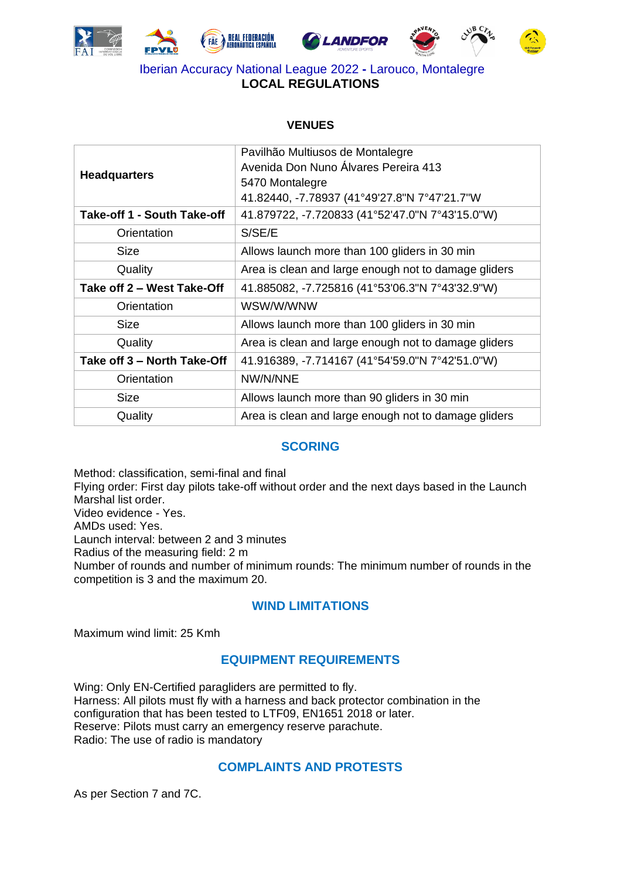









#### **VENUES**

| <b>Headquarters</b>         | Pavilhão Multiusos de Montalegre<br>Avenida Don Nuno Álvares Pereira 413<br>5470 Montalegre<br>41.82440, -7.78937 (41°49'27.8"N 7°47'21.7"W |
|-----------------------------|---------------------------------------------------------------------------------------------------------------------------------------------|
| Take-off 1 - South Take-off | 41.879722, -7.720833 (41°52'47.0"N 7°43'15.0"W)                                                                                             |
| Orientation                 | S/SE/E                                                                                                                                      |
| <b>Size</b>                 | Allows launch more than 100 gliders in 30 min                                                                                               |
| Quality                     | Area is clean and large enough not to damage gliders                                                                                        |
| Take off 2 - West Take-Off  | 41.885082, -7.725816 (41°53'06.3"N 7°43'32.9"W)                                                                                             |
| Orientation                 | WSW/W/WNW                                                                                                                                   |
| <b>Size</b>                 | Allows launch more than 100 gliders in 30 min                                                                                               |
| Quality                     | Area is clean and large enough not to damage gliders                                                                                        |
| Take off 3 – North Take-Off | 41.916389, -7.714167 (41°54'59.0"N 7°42'51.0"W)                                                                                             |
| Orientation                 | NW/N/NNE                                                                                                                                    |
| <b>Size</b>                 | Allows launch more than 90 gliders in 30 min                                                                                                |
| Quality                     | Area is clean and large enough not to damage gliders                                                                                        |

### **SCORING**

Method: classification, semi-final and final Flying order: First day pilots take-off without order and the next days based in the Launch Marshal list order. Video evidence - Yes. AMDs used: Yes. Launch interval: between 2 and 3 minutes Radius of the measuring field: 2 m Number of rounds and number of minimum rounds: The minimum number of rounds in the competition is 3 and the maximum 20.

# **WIND LIMITATIONS**

Maximum wind limit: 25 Kmh

# **EQUIPMENT REQUIREMENTS**

Wing: Only EN-Certified paragliders are permitted to fly. Harness: All pilots must fly with a harness and back protector combination in the configuration that has been tested to LTF09, EN1651 2018 or later. Reserve: Pilots must carry an emergency reserve parachute. Radio: The use of radio is mandatory

### **COMPLAINTS AND PROTESTS**

As per Section 7 and 7C.